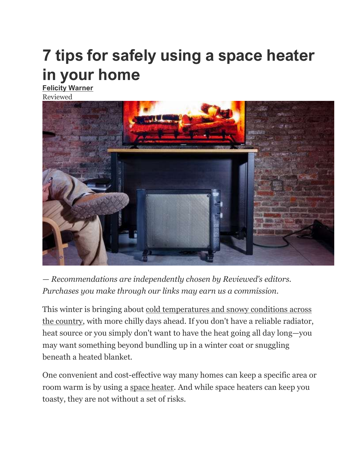# 7 tips for safely using a space heater in your home

Felicity Warner Reviewed



— Recommendations are independently chosen by Reviewed's editors. Purchases you make through our links may earn us a commission.

This winter is bringing about cold temperatures and snowy conditions across the country, with more chilly days ahead. If you don't have a reliable radiator, heat source or you simply don't want to have the heat going all day long—you may want something beyond bundling up in a winter coat or snuggling beneath a heated blanket.

One convenient and cost-effective way many homes can keep a specific area or room warm is by using a space heater. And while space heaters can keep you toasty, they are not without a set of risks.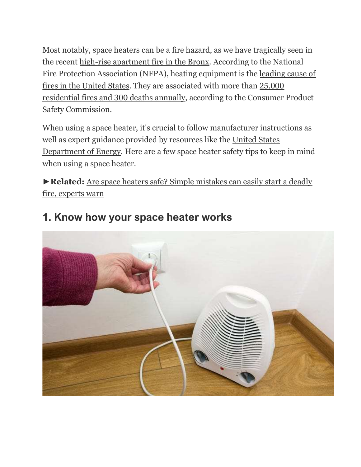Most notably, space heaters can be a fire hazard, as we have tragically seen in the recent high-rise apartment fire in the Bronx. According to the National Fire Protection Association (NFPA), heating equipment is the leading cause of fires in the United States. They are associated with more than 25,000 residential fires and 300 deaths annually, according to the Consumer Product Safety Commission.

When using a space heater, it's crucial to follow manufacturer instructions as well as expert guidance provided by resources like the United States Department of Energy. Here are a few space heater safety tips to keep in mind when using a space heater.

►Related: Are space heaters safe? Simple mistakes can easily start a deadly fire, experts warn



#### 1. Know how your space heater works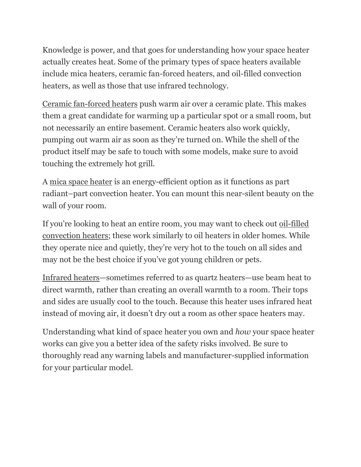Knowledge is power, and that goes for understanding how your space heater actually creates heat. Some of the primary types of space heaters available include mica heaters, ceramic fan-forced heaters, and oil-filled convection heaters, as well as those that use infrared technology.

Ceramic fan-forced heaters push warm air over a ceramic plate. This makes them a great candidate for warming up a particular spot or a small room, but not necessarily an entire basement. Ceramic heaters also work quickly, pumping out warm air as soon as they're turned on. While the shell of the product itself may be safe to touch with some models, make sure to avoid touching the extremely hot grill.

A mica space heater is an energy-efficient option as it functions as part radiant–part convection heater. You can mount this near-silent beauty on the wall of your room.

If you're looking to heat an entire room, you may want to check out oil-filled convection heaters; these work similarly to oil heaters in older homes. While they operate nice and quietly, they're very hot to the touch on all sides and may not be the best choice if you've got young children or pets.

Infrared heaters—sometimes referred to as quartz heaters—use beam heat to direct warmth, rather than creating an overall warmth to a room. Their tops and sides are usually cool to the touch. Because this heater uses infrared heat instead of moving air, it doesn't dry out a room as other space heaters may.

Understanding what kind of space heater you own and how your space heater works can give you a better idea of the safety risks involved. Be sure to thoroughly read any warning labels and manufacturer-supplied information for your particular model.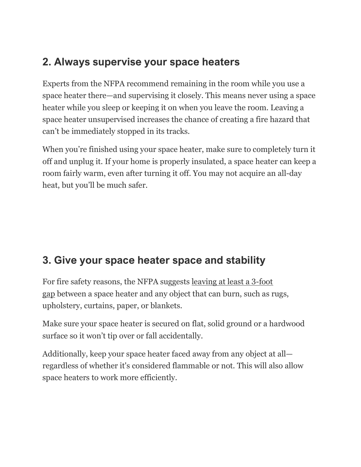#### 2. Always supervise your space heaters

Experts from the NFPA recommend remaining in the room while you use a space heater there—and supervising it closely. This means never using a space heater while you sleep or keeping it on when you leave the room. Leaving a space heater unsupervised increases the chance of creating a fire hazard that can't be immediately stopped in its tracks.

When you're finished using your space heater, make sure to completely turn it off and unplug it. If your home is properly insulated, a space heater can keep a room fairly warm, even after turning it off. You may not acquire an all-day heat, but you'll be much safer.

## 3. Give your space heater space and stability

For fire safety reasons, the NFPA suggests leaving at least a 3-foot gap between a space heater and any object that can burn, such as rugs, upholstery, curtains, paper, or blankets.

Make sure your space heater is secured on flat, solid ground or a hardwood surface so it won't tip over or fall accidentally.

Additionally, keep your space heater faced away from any object at all regardless of whether it's considered flammable or not. This will also allow space heaters to work more efficiently.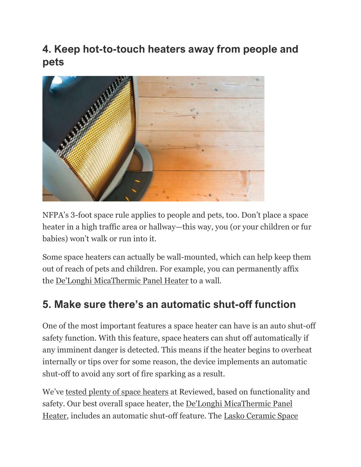#### 4. Keep hot-to-touch heaters away from people and pets



NFPA's 3-foot space rule applies to people and pets, too. Don't place a space heater in a high traffic area or hallway—this way, you (or your children or fur babies) won't walk or run into it.

Some space heaters can actually be wall-mounted, which can help keep them out of reach of pets and children. For example, you can permanently affix the De'Longhi MicaThermic Panel Heater to a wall.

### 5. Make sure there's an automatic shut-off function

One of the most important features a space heater can have is an auto shut-off safety function. With this feature, space heaters can shut off automatically if any imminent danger is detected. This means if the heater begins to overheat internally or tips over for some reason, the device implements an automatic shut-off to avoid any sort of fire sparking as a result.

We've tested plenty of space heaters at Reviewed, based on functionality and safety. Our best overall space heater, the De'Longhi MicaThermic Panel Heater, includes an automatic shut-off feature. The Lasko Ceramic Space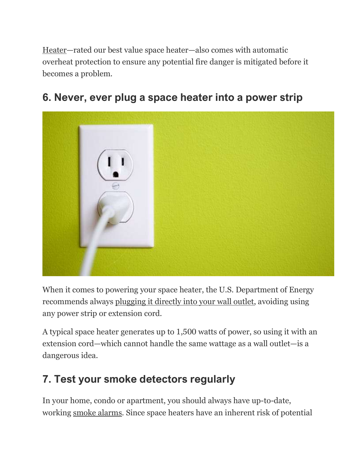Heater—rated our best value space heater—also comes with automatic overheat protection to ensure any potential fire danger is mitigated before it becomes a problem.



#### 6. Never, ever plug a space heater into a power strip

When it comes to powering your space heater, the U.S. Department of Energy recommends always plugging it directly into your wall outlet, avoiding using any power strip or extension cord.

A typical space heater generates up to 1,500 watts of power, so using it with an extension cord—which cannot handle the same wattage as a wall outlet—is a dangerous idea.

## 7. Test your smoke detectors regularly

In your home, condo or apartment, you should always have up-to-date, working smoke alarms. Since space heaters have an inherent risk of potential